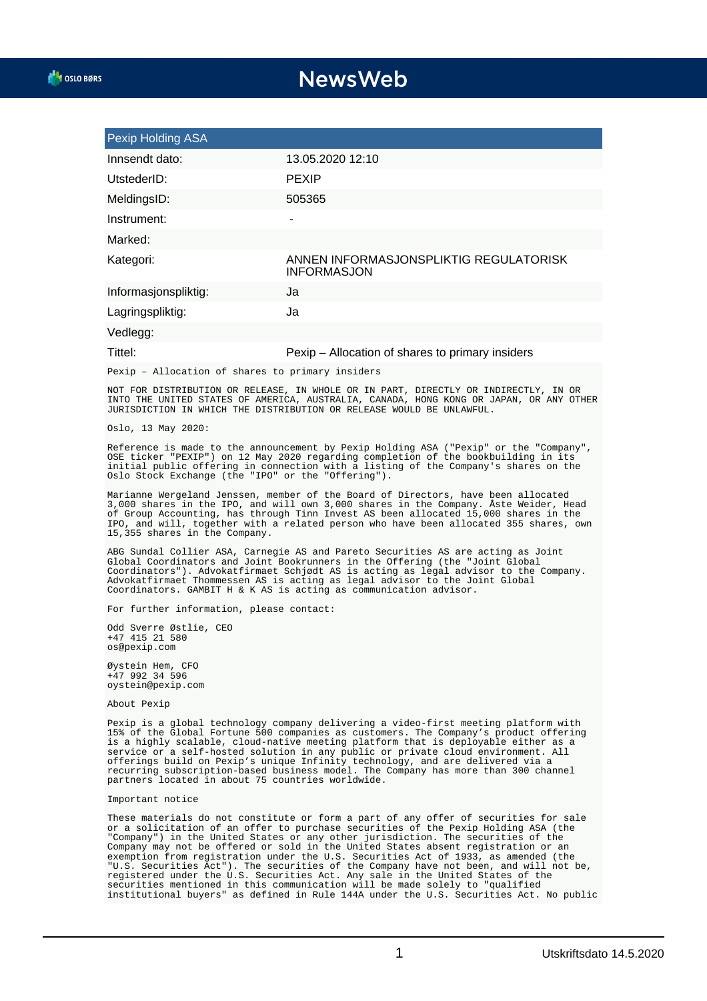## **NewsWeb**

| Pexip Holding ASA    |                                                              |
|----------------------|--------------------------------------------------------------|
| Innsendt dato:       | 13.05.2020 12:10                                             |
| UtstederID:          | <b>PEXIP</b>                                                 |
| MeldingsID:          | 505365                                                       |
| Instrument:          | ۰                                                            |
| Marked:              |                                                              |
| Kategori:            | ANNEN INFORMASJONSPLIKTIG REGULATORISK<br><b>INFORMASJON</b> |
| Informasjonspliktig: | Ja                                                           |
| Lagringspliktig:     | Ja                                                           |
| Vedlegg:             |                                                              |
| ______               | $\blacksquare$                                               |

## Tittel: Pexip – Allocation of shares to primary insiders

Pexip – Allocation of shares to primary insiders

NOT FOR DISTRIBUTION OR RELEASE, IN WHOLE OR IN PART, DIRECTLY OR INDIRECTLY, IN OR INTO THE UNITED STATES OF AMERICA, AUSTRALIA, CANADA, HONG KONG OR JAPAN, OR ANY OTHER JURISDICTION IN WHICH THE DISTRIBUTION OR RELEASE WOULD BE UNLAWFUL.

Oslo, 13 May 2020:

Reference is made to the announcement by Pexip Holding ASA ("Pexip" or the "Company", OSE ticker "PEXIP") on 12 May 2020 regarding completion of the bookbuilding in its initial public offering in connection with a listing of the Company's shares on the Oslo Stock Exchange (the "IPO" or the "Offering").

Marianne Wergeland Jenssen, member of the Board of Directors, have been allocated 3,000 shares in the IPO, and will own 3,000 shares in the Company. Åste Weider, Head of Group Accounting, has through Tinn Invest AS been allocated 15,000 shares in the IPO, and will, together with a related person who have been allocated 355 shares, own 15,355 shares in the Company.

ABG Sundal Collier ASA, Carnegie AS and Pareto Securities AS are acting as Joint Global Coordinators and Joint Bookrunners in the Offering (the "Joint Global Coordinators"). Advokatfirmaet Schjødt AS is acting as legal advisor to the Company. Advokatfirmaet Thommessen AS is acting as legal advisor to the Joint Global Coordinators. GAMBIT H & K AS is acting as communication advisor.

For further information, please contact:

Odd Sverre Østlie, CEO +47 415 21 580 os@pexip.com

Øystein Hem, CFO +47 992 34 596 oystein@pexip.com

About Pexip

Pexip is a global technology company delivering a video-first meeting platform with 15% of the Global Fortune 500 companies as customers. The Company's product offering is a highly scalable, cloud-native meeting platform that is deployable either as a service or a self-hosted solution in any public or private cloud environment. All offerings build on Pexip's unique Infinity technology, and are delivered via a recurring subscription-based business model. The Company has more than 300 channel partners located in about 75 countries worldwide.

## Important notice

These materials do not constitute or form a part of any offer of securities for sale or a solicitation of an offer to purchase securities of the Pexip Holding ASA (the "Company") in the United States or any other jurisdiction. The securities of the Company may not be offered or sold in the United States absent registration or an exemption from registration under the U.S. Securities Act of 1933, as amended (the "U.S. Securities Act"). The securities of the Company have not been, and will not be, registered under the U.S. Securities Act. Any sale in the United States of the securities mentioned in this communication will be made solely to "qualified institutional buyers" as defined in Rule 144A under the U.S. Securities Act. No public